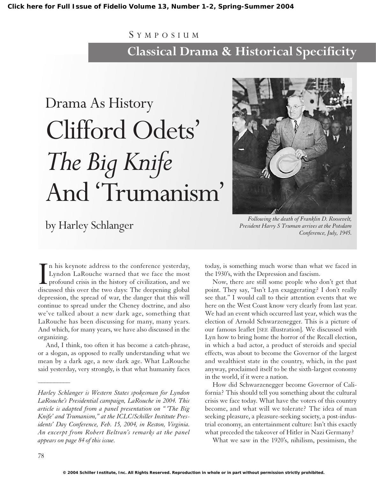#### S YMPOSIUM

## **Classical Drama & Historical Specificity**

# Drama As History Clifford Odets' *The Big Knife* And 'Trumanism'



Following the death of Franklin D. Roosevelt,<br>President Harry S Truman arrives at the Potsdam *President Harry S Truman arrives at the Potsdam Conference, July, 1945.*

In his keynote address to the conference yesterday,<br>Lyndon LaRouche warned that we face the most<br>profound crisis in the history of civilization, and we<br>discussed this over the two days: The deepening global n his keynote address to the conference yesterday, Lyndon LaRouche warned that we face the most  $\blacktriangle$  profound crisis in the history of civilization, and we depression, the spread of war, the danger that this will continue to spread under the Cheney doctrine, and also we've talked about a new dark age, something that LaRouche has been discussing for many, many years. And which, for many years, we have also discussed in the organizing.

And, I think, too often it has become a catch-phrase, or a slogan, as opposed to really understanding what we mean by a dark age, a new dark age. What LaRouche said yesterday, very strongly, is that what humanity faces

today, is something much worse than what we faced in the 1930's, with the Depression and fascism.

Now, there are still some people who don't get that point. They say, "Isn't Lyn exaggerating? I don't really see that." I would call to their attention events that we here on the West Coast know very clearly from last year. We had an event which occurred last year, which was the election of Arnold Schwarzenegger. This is a picture of our famous leaflet [SEE illustration]. We discussed with Lyn how to bring home the horror of the Recall election, in which a bad actor, a product of steroids and special effects, was about to become the Governor of the largest and wealthiest state in the country, which, in the past anyway, proclaimed itself to be the sixth-largest economy in the world, if it were a nation.

How did Schwarzenegger become Governor of California? This should tell you something about the cultural crisis we face today. What have the voters of this country become, and what will we tolerate? The idea of man seeking pleasure, a pleasure-seeking society, a post-industrial economy, an entertainment culture: Isn't this exactly what preceded the takeover of Hitler in Nazi Germany?

What we saw in the 1920's, nihilism, pessimism, the

––––––––––

*Harley Schlanger is Western States spokesman for Lyndon LaRouche's Presidential campaign, LaRouche in 2004. This article is adapted from a panel presentation on " 'The Big Knife' and Trumanism," at the ICLC/Schiller Institute Presidents' Day Conference, Feb. 15, 2004, in Reston, Virginia. An excerpt from Robert Beltran's remarks at the panel appears on page 84 of this issue.*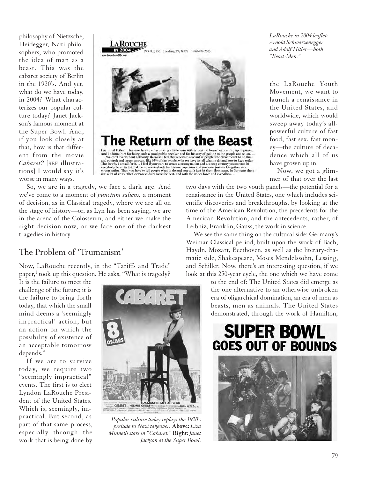philosophy of Nietzsche, Heidegger, Nazi philosophers, who promoted the idea of man as a beast. This was the cabaret society of Berlin in the 1920's. And yet, what do we have today, in 2004? What characterizes our popular culture today? Janet Jackson's famous moment at the Super Bowl. And, if you look closely at that, how is that different from the movie *Cabaret?* [SEE illustrations] I would say it's worse in many ways.



So, we are in a tragedy, we face a dark age. And we've come to a moment of *punctum saliens,* a moment of decision, as in Classical tragedy, where we are all on the stage of history—or, as Lyn has been saying, we are in the arena of the Colosseum, and either we make the right decision now, or we face one of the darkest tragedies in history.

#### The Problem of 'Trumanism'

Now, LaRouche recently, in the "Tariffs and Trade" paper, <sup>1</sup> took up this question. He asks, "What is tragedy?

It is the failure to meet the challenge of the future; it is the failure to bring forth today, that which the small mind deems a 'seemingly impractical' action, but an action on which the possibility of existence of an acceptable tomorrow depends."

If we are to survive today, we require two "seemingly impractical" events. The first is to elect Lyndon LaRouche President of the United States. Which is, seemingly, impractical. But second, as part of that same process, especially through the work that is being done by



*Popular culture today replays the 1920's prelude to Nazi takeover.* **Above:** *Liza Minnelli stars in "Cabaret."* **Right:** *Janet Jackson at the Super Bowl.*

*LaRouche in 2004 leaflet: Arnold Schwarzenegger and Adolf Hitler—both "Beast-Men."*

the LaRouche Youth Movement, we want to launch a renaissance in the United States, and worldwide, which would sweep away today's allpowerful culture of fast food, fast sex, fast money—the culture of decadence which all of us have grown up in.

Now, we got a glimmer of that over the last

two days with the two youth panels—the potential for a renaissance in the United States, one which includes scientific discoveries and breakthroughs, by looking at the time of the American Revolution, the precedents for the American Revolution, and the antecedents, rather, of Leibniz, Franklin, Gauss, the work in science.

We see the same thing on the cultural side: Germany's Weimar Classical period, built upon the work of Bach, Haydn, Mozart, Beethoven, as well as the literary-dramatic side, Shakespeare, Moses Mendelssohn, Lessing, and Schiller. Now, there's an interesting question, if we look at this 250-year cycle, the one which we have come

> to the end of: The United States did emerge as the one alternative to an otherwise unbroken era of oligarchical domination, an era of men as beasts, men as animals. The United States demonstrated, through the work of Hamilton,

> > **SUPER BOWL**

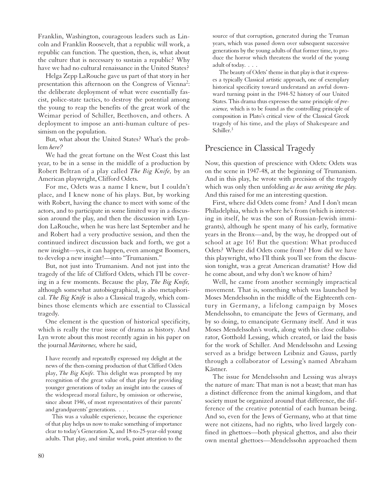Franklin, Washington, courageous leaders such as Lincoln and Franklin Roosevelt, that a republic will work, a republic can function. The question, then, is, what about the culture that is necessary to sustain a republic? Why have we had no cultural renaissance in the United States?

Helga Zepp LaRouche gave us part of that story in her presentation this afternoon on the Congress of Vienna<sup>2</sup>: the deliberate deployment of what were essentially fascist, police-state tactics, to destroy the potential among the young to reap the benefits of the great work of the Weimar period of Schiller, Beethoven, and others. A deployment to impose an anti-human culture of pessimism on the population.

But, what about the United States? What's the problem *here?*

We had the great fortune on the West Coast this last year, to be in a sense in the middle of a production by Robert Beltran of a play called *The Big Knife,* by an American playwright, Clifford Odets.

For me, Odets was a name I knew, but I couldn't place, and I knew none of his plays. But, by working with Robert, having the chance to meet with some of the actors, and to participate in some limited way in a discussion around the play, and then the discussion with Lyndon LaRouche, when he was here last September and he and Robert had a very productive session, and then the continued indirect discussion back and forth, we got a new insight—yes, it can happen, even amongst Boomers, to develop a new insight!—into "Trumanism."

But, not just into Trumanism. And not just into the tragedy of the life of Clifford Odets, which I'll be covering in a few moments. Because the play, *The Big Knife,* although somewhat autobiographical, is also metaphorical. *The Big Knife* is also a Classical tragedy, which combines those elements which are essential to Classical tragedy.

One element is the question of historical specificity, which is really the true issue of drama as history. And Lyn wrote about this most recently again in his paper on the journal *Maritornes,* where he said,

I have recently and repeatedly expressed my delight at the news of the then-coming production of that Clifford Odets play, *The Big Knife.* This delight was prompted by my recognition of the great value of that play for providing younger generations of today an insight into the causes of the widespread moral failure, by omission or otherwise, since about 1946, of most representatives of their parents' and grandparents' generations. . . .

This was a valuable experience, because the experience of that play helps us now to make something of importance clear to today's Generation X, and 18-to-25-year-old young adults. That play, and similar work, point attention to the

source of that corruption, generated during the Truman years, which was passed down over subsequent successive generations by the young adults of that former time, to produce the horror which threatens the world of the young adult of today. . . .

The beauty of Odets' theme in that play is that it expresses a typically Classical artistic approach, one of exemplary historical specificity toward understand an awful downward turning point in the 1944-52 history of our United States. This drama thus expresses the same principle of *prescience,* which is to be found as the controlling principle of composition in Plato's critical view of the Classical Greek tragedy of his time, and the plays of Shakespeare and Schiller.<sup>3</sup>

#### Prescience in Classical Tragedy

Now, this question of prescience with Odets: Odets was on the scene in 1947-48, at the beginning of Trumanism. And in this play, he wrote with precision of the tragedy which was only then unfolding *as he was writing the play.* And this raised for me an interesting question.

First, where did Odets come from? And I don't mean Philadelphia, which is where he's from (which is interesting in itself, he was the son of Russian-Jewish immigrants), although he spent many of his early, formative years in the Bronx—and, by the way, he dropped out of school at age 16! But the question: What produced Odets? Where did Odets come from? How did we have this playwright, who I'll think you'll see from the discussion tonight, was a great American dramatist? How did he come about, and why don't we know of him?

Well, he came from another seemingly impractical movement. That is, something which was launched by Moses Mendelssohn in the middle of the Eighteenth century in Germany, a lifelong campaign by Moses Mendelssohn, to emancipate the Jews of Germany, and by so doing, to emancipate Germany itself. And it was Moses Mendelssohn's work, along with his close collaborator, Gotthold Lessing, which created, or laid the basis for the work of Schiller. And Mendelssohn and Lessing served as a bridge between Leibniz and Gauss, partly through a collaborator of Lessing's named Abraham Kästner.

The issue for Mendelssohn and Lessing was always the nature of man: That man is not a beast; that man has a distinct difference from the animal kingdom, and that society must be organized around that difference, the difference of the creative potential of each human being. And so, even for the Jews of Germany, who at that time were not citizens, had no rights, who lived largely confined in ghettoes—both physical ghettos, and also their own mental ghettoes—Mendelssohn approached them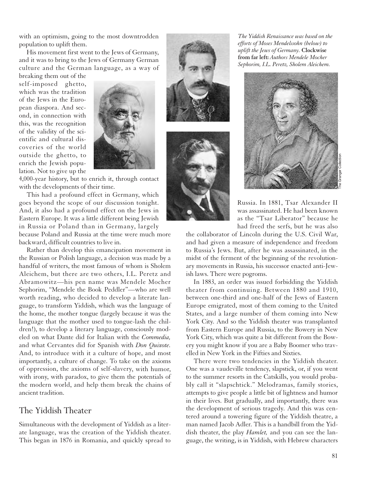with an optimism, going to the most downtrodden population to uplift them.

His movement first went to the Jews of Germany, and it was to bring to the Jews of Germany German culture and the German language, as a way of

breaking them out of the self-imposed ghetto, which was the tradition of the Jews in the European diaspora. And second, in connection with this, was the recognition of the validity of the scientific and cultural discoveries of the world outside the ghetto, to enrich the Jewish population. Not to give up the



4,000-year history, but to enrich it, through contact with the developments of their time.

This had a profound effect in Germany, which goes beyond the scope of our discussion tonight. And, it also had a profound effect on the Jews in Eastern Europe. It was a little different being Jewish in Russia or Poland than in Germany, largely

because Poland and Russia at the time were much more backward, difficult countries to live in.

Rather than develop this emancipation movement in the Russian or Polish language, a decision was made by a handful of writers, the most famous of whom is Sholem Aleichem, but there are two others, I.L. Peretz and Abramowitz—his pen name was Mendele Mocher Sephorim, "Mendele the Book Peddler"—who are well worth reading, who decided to develop a literate language, to transform Yiddish, which was the language of the home, the mother tongue (largely because it was the language that the mother used to tongue-lash the children!), to develop a literary language, consciously modeled on what Dante did for Italian with the *Commedia,* and what Cervantes did for Spanish with *Don Quixote.* And, to introduce with it a culture of hope, and most importantly, a culture of change. To take on the axioms of oppression, the axioms of self-slavery, with humor, with irony, with paradox, to give them the potentials of the modern world, and help them break the chains of ancient tradition.

#### The Yiddish Theater

Simultaneous with the development of Yiddish as a literate language, was the creation of the Yiddish theater. This began in 1876 in Romania, and quickly spread to

*The Yiddish Renaissance was based on the efforts of Moses Mendelssohn (below) to uplift the Jews of Germany.* **Clockwise from far left:** *Authors Mendele Mocher Sephorim, I.L. Peretz, Sholem Aleichem.*



Russia. In 1881, Tsar Alexander II was assassinated. He had been known as the "Tsar Liberator" because he had freed the serfs, but he was also

the collaborator of Lincoln during the U.S. Civil War, and had given a measure of independence and freedom to Russia's Jews. But, after he was assassinated, in the midst of the ferment of the beginning of the revolutionary movements in Russia, his successor enacted anti-Jewish laws. There were pogroms.

In 1883, an order was issued forbidding the Yiddish theater from continuing. Between 1880 and 1910, between one-third and one-half of the Jews of Eastern Europe emigrated, most of them coming to the United States, and a large number of them coming into New York City. And so the Yiddish theater was transplanted from Eastern Europe and Russia, to the Bowery in New York City, which was quite a bit different from the Bowery you might know if you are a Baby Boomer who travelled in New York in the Fifties and Sixties.

There were two tendencies in the Yiddish theater. One was a vaudeville tendency, slapstick, or, if you went to the summer resorts in the Catskills, you would probably call it "slapschtick." Melodramas, family stories, attempts to give people a little bit of lightness and humor in their lives. But gradually, and importantly, there was the development of serious tragedy. And this was centered around a towering figure of the Yiddish theatre, a man named Jacob Adler. This is a handbill from the Yiddish theater, the play *Hamlet,* and you can see the language, the writing, is in Yiddish, with Hebrew characters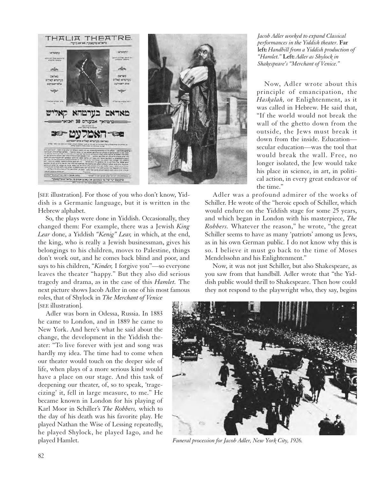

[SEE illustration]. For those of you who don't know, Yiddish is a Germanic language, but it is written in the Hebrew alphabet.

So, the plays were done in Yiddish. Occasionally, they changed them: For example, there was a Jewish *King Lear* done, a Yiddish *"Kenig" Lear,* in which, at the end, the king, who is really a Jewish businessman, gives his belongings to his children, moves to Palestine, things don't work out, and he comes back blind and poor, and says to his children, "*Kinder,* I forgive you"—so everyone leaves the theater "happy." But they also did serious tragedy and drama, as in the case of this *Hamlet.* The next picture shows Jacob Adler in one of his most famous roles, that of Shylock in *The Merchant of Venice*

[SEE illustration].

Adler was born in Odessa, Russia. In 1883 he came to London, and in 1889 he came to New York. And here's what he said about the change, the development in the Yiddish theater: "To live forever with jest and song was hardly my idea. The time had to come when our theater would touch on the deeper side of life, when plays of a more serious kind would have a place on our stage. And this task of deepening our theater, of, so to speak, 'tragecizing' it, fell in large measure, to me." He became known in London for his playing of Karl Moor in Schiller's *The Robbers,* which to the day of his death was his favorite play. He played Nathan the Wise of Lessing repeatedly, he played Shylock, he played Iago, and he played Hamlet.

*Jacob Adler worked to expand Classical performances in the Yiddish theater.* **Far left:** *Handbill from a Yiddish production of "Hamlet."* **Left:** *Adler as Shylock in Shakespeare's "Merchant of Venice."*

Now, Adler wrote about this principle of emancipation, the *Haskalah,* or Enlightenment, as it was called in Hebrew. He said that, "If the world would not break the wall of the ghetto down from the outside, the Jews must break it down from the inside. Education secular education—was the tool that would break the wall. Free, no longer isolated, the Jew would take his place in science, in art, in political action, in every great endeavor of the time."

Adler was a profound admirer of the works of Schiller. He wrote of the "heroic epoch of Schiller, which would endure on the Yiddish stage for some 25 years, and which began in London with his masterpiece, *The Robbers.* Whatever the reason," he wrote, "the great Schiller seems to have as many 'patriots' among us Jews, as in his own German public. I do not know why this is so. I believe it must go back to the time of Moses Mendelssohn and his Enlightenment."

Now, it was not just Schiller, but also Shakespeare, as you saw from that handbill. Adler wrote that "the Yiddish public would thrill to Shakespeare. Then how could they not respond to the playwright who, they say, begins



*Funeral procession for Jacob Adler, New York City, 1926.*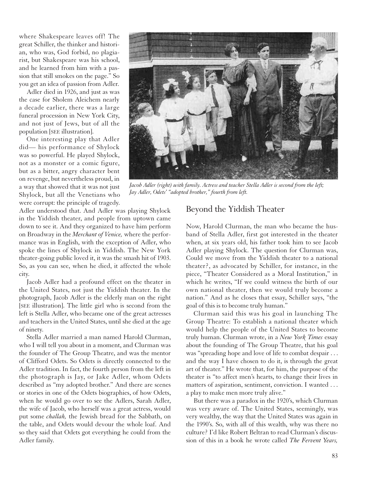where Shakespeare leaves off! The great Schiller, the thinker and historian, who was, God forbid, no plagiarist, but Shakespeare was his school, and he learned from him with a passion that still smokes on the page." So you get an idea of passion from Adler.

Adler died in 1926, and just as was the case for Sholem Aleichem nearly a decade earlier, there was a large funeral procession in New York City, and not just of Jews, but of all the population [SEE illustration].

One interesting play that Adler did— his performance of Shylock was so powerful. He played Shylock, not as a monster or a comic figure, but as a bitter, angry character bent on revenge, but nevertheless proud, in a way that showed that it was not just Shylock, but all the Venetians who were corrupt: the principle of tragedy.



*Jacob Adler (right) with family. Actress and teacher Stella Adler is second from the left; Jay Adler, Odets' "adopted brother," fourth from left.*

Adler understood that. And Adler was playing Shylock in the Yiddish theater, and people from uptown came down to see it. And they organized to have him perform on Broadway in the *Merchant of Venice,* where the performance was in English, with the exception of Adler, who spoke the lines of Shylock in Yiddish. The New York theater-going public loved it, it was the smash hit of 1903. So, as you can see, when he died, it affected the whole city.

Jacob Adler had a profound effect on the theater in the United States, not just the Yiddish theater. In the photograph, Jacob Adler is the elderly man on the right [SEE illustration]. The little girl who is second from the left is Stella Adler, who became one of the great actresses and teachers in the United States, until she died at the age of ninety.

Stella Adler married a man named Harold Clurman, who I will tell you about in a moment, and Clurman was the founder of The Group Theatre, and was the mentor of Clifford Odets. So Odets is directly connected to the Adler tradition. In fact, the fourth person from the left in the photograph is Jay, or Jake Adler, whom Odets described as "my adopted brother." And there are scenes or stories in one of the Odets biographies, of how Odets, when he would go over to see the Adlers, Sarah Adler, the wife of Jacob, who herself was a great actress, would put some *challah,* the Jewish bread for the Sabbath, on the table, and Odets would devour the whole loaf. And so they said that Odets got everything he could from the Adler family.

#### Beyond the Yiddish Theater

Now, Harold Clurman, the man who became the husband of Stella Adler, first got interested in the theater when, at six years old, his father took him to see Jacob Adler playing Shylock. The question for Clurman was, Could we move from the Yiddish theater to a national theater?, as advocated by Schiller, for instance, in the piece, "Theater Considered as a Moral Institution," in which he writes, "If we could witness the birth of our own national theater, then we would truly become a nation." And as he closes that essay, Schiller says, "the goal of this is to become truly human."

Clurman said this was his goal in launching The Group Theatre: To establish a national theater which would help the people of the United States to become truly human. Clurman wrote, in a *New York Times* essay about the founding of The Group Theatre, that his goal was "spreading hope and love of life to combat despair . . . and the way I have chosen to do it, is through the great art of theater." He wrote that, for him, the purpose of the theater is "to affect men's hearts, to change their lives in matters of aspiration, sentiment, conviction. I wanted . . . a play to make men more truly alive."

But there was a paradox in the 1920's, which Clurman was very aware of. The United States, seemingly, was very wealthy, the way that the United States was again in the 1990's. So, with all of this wealth, why was there no culture? I'd like Robert Beltran to read Clurman's discussion of this in a book he wrote called *The Fervent Years,*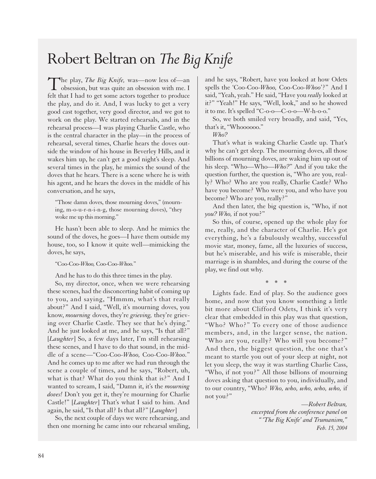## Robert Beltran on *The Big Knife*

The play, *The Big Knife,* was—now less of—an obsession, but was quite an obsession with me. I felt that I had to get some actors together to produce the play, and do it. And, I was lucky to get a very good cast together, very good director, and we got to work on the play. We started rehearsals, and in the rehearsal process—I was playing Charlie Castle, who is the central character in the play—in the process of rehearsal, several times, Charlie hears the doves outside the window of his house in Beverley Hills, and it wakes him up, he can't get a good night's sleep. And several times in the play, he mimics the sound of the doves that he hears. There is a scene where he is with his agent, and he hears the doves in the middle of his conversation, and he says,

"Those damn doves, those mourning doves," (mourning, m-o-u-r-n-i-n-g, those mourning doves), "they woke me up this morning."

He hasn't been able to sleep. And he mimics the sound of the doves, he goes—I have them outside my house, too, so I know it quite well—mimicking the doves, he says,

#### "Coo-Coo-*Whoo,* Coo-Coo-*Whoo.*"

And he has to do this three times in the play.

So, my director, once, when we were rehearsing these scenes, had the disconcerting habit of coming up to you, and saying, "Hmmm, what's that really about?" And I said, "Well, it's mourning doves, you know, *mourning* doves, they're *grieving,* they're grieving over Charlie Castle. They see that he's dying." And he just looked at me, and he says, "Is that all?" [*Laughter*] So, a few days later, I'm still rehearsing these scenes, and I have to do that sound, in the middle of a scene—"Coo-Coo-*Whoo,* Coo-Coo-*Whoo.*" And he comes up to me after we had run through the scene a couple of times, and he says, "Robert, uh, what is that? What do you think that is?" And I wanted to scream, I said, "Damn it, it's the *mourning doves!* Don't you get it, they're mourning for Charlie Castle!" [*Laughter*] That's what I said to him. And again, he said, "Is that all? Is that all?" [*Laughter*]

So, the next couple of days we were rehearsing, and then one morning he came into our rehearsal smiling, and he says, "Robert, have you looked at how Odets spells the 'Coo-Coo-*Whoo,* Coo-Coo-*Whoo*'?" And I said, "Yeah, yeah." He said, "Have you *really* looked at it?" "Yeah!" He says, "Well, look," and so he showed it to me. It's spelled "C-o-o—C-o-o—W-h-o-o."

So, we both smiled very broadly, and said, "Yes, that's it, "Whoooooo."

*Who?*

That's what is waking Charlie Castle up. That's why he can't get sleep. The mourning doves, all those billions of mourning doves, are waking him up out of his sleep. "Who—Who—*Who?*" And if you take the question further, the question is, "Who are you, really? Who? Who are you really, Charlie Castle? Who have you become? Who were you, and who have you become? Who are you, really?"

And then later, the big question is, "Who, if not *you? Who,* if not you?"

So this, of course, opened up the whole play for me, really, and the character of Charlie. He's got everything, he's a fabulously wealthy, successful movie star, money, fame, all the luxuries of success, but he's miserable, and his wife is miserable, their marriage is in shambles, and during the course of the play, we find out why.

\*\*\*

Lights fade. End of play. So the audience goes home, and now that you know something a little bit more about Clifford Odets, I think it's very clear that embedded in this play was that question, "Who? Who?" To every one of those audience members, and, in the larger sense, the nation. "Who are you, really? Who will you become?" And then, the biggest question, the one that's meant to startle you out of your sleep at night, not let you sleep, the way it was startling Charlie Cass, "Who, if not you?" All those billions of mourning doves asking that question to you, individually, and to our country, "Who? *Who, who, who, who, who,* if not you?"

> *—Robert Beltran, excerpted from the conference panel on "'The Big Knife' and Trumanism," Feb. 15, 2004*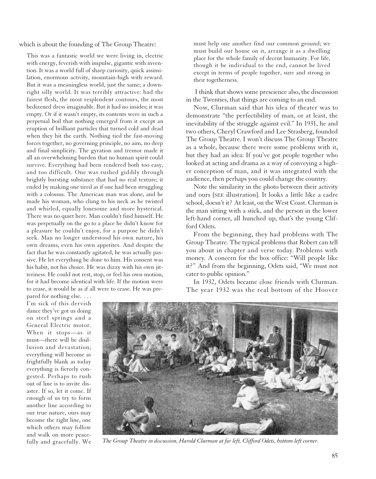which is about the founding of The Group Theatre:

This was a fantastic world we were living in, electric with energy, feverish with impulse, gigantic with invention. It was a world full of sharp curiosity, quick assimilation, enormous activity, mountain-high with reward. But it was a meaningless world, just the same; a downright silly world. It was terribly attractive: had the fairest flesh, the most resplendent contours, the most bedizened dress imaginable. But it had no insides; it was empty. Or if it wasn't empty, its contents were in such a perpetual boil that nothing emerged from it except an eruption of brilliant particles that turned cold and dead when they hit the earth. Nothing tied the fast-moving forces together, no governing principle, no aim, no deep and final simplicity. The gyration and tremor made it all an overwhelming burden that no human spirit could survive. Everything had been rendered both too easy, and too difficult. One was rushed giddily through brightly bursting substance that had no real texture; it ended by making one tired as if one had been struggling with a colossus. The American man was alone, and he made his woman, who clung to his neck as he twisted and whirled, equally lonesome and more hysterical. There was no quiet here. Man couldn't find himself. He was perpetually on the go to a place he didn't know for a pleasure he couldn't enjoy, for a purpose he didn't seek. Man no longer understood his own nature, his own dreams, even his own appetites. And despite the fact that he was constantly agitated, he was actually passive. He let everything be done to him. His consent was his habit, not his choice. He was dizzy with his own jitteriness. He could not rest, stop, or feel his own motion, for it had become identical with life. If the motion were to cease, it would be as if all were to cease. He was pre-

must help one another find our common ground; we must build our house on it, arrange it as a dwelling place for the whole family of decent humanity. For life, though it be individual to the end, cannot be lived except in terms of people together, sure and strong in their togetherness.

I think that shows some prescience also, the discussion in the Twenties, that things are coming to an end.

Now, Clurman said that his idea of theater was to demonstrate "the perfectibility of man, or at least, the inevitability of the struggle against evil." In 1931, he and two others, Cheryl Crawford and Lee Strasberg, founded The Group Theatre. I won't discuss The Group Theatre as a whole, because there were some problems with it, but they had an idea: If you've got people together who looked at acting and drama as a way of conveying a higher conception of man, and it was integrated with the audience, then perhaps you could change the country.

Note the similarity in the photo between their activity and ours [SEE illustration]. It looks a little like a cadre school, doesn't it? At least, on the West Coast. Clurman is the man sitting with a stick, and the person in the lower left-hand corner, all hunched up, that's the young Clifford Odets.

From the beginning, they had problems with The Group Theatre. The typical problems that Robert can tell you about in chapter and verse today. Problems with money. A concern for the box office: "Will people like it?" And from the beginning, Odets said, "We must not cater to public opinion."

In 1932, Odets became close friends with Clurman. The year 1932 was the real bottom of the Hoover

pared for nothing else. . . . I'm sick of this dervish dance they've got us doing on steel springs and a General Electric motor. When it stops—as it must—there will be disillusion and devastation; everything will become as frightfully blank as today everything is fiercely congested. Perhaps to rush out of line is to invite disaster. If so, let it come. If enough of us try to form another line according to our true nature, ours may become the right line, one which others may follow and walk on more peacefully and gracefully. We



*The Group Theatre in discussion, Harold Clurman at far left, Clifford Odets, bottom left corner.*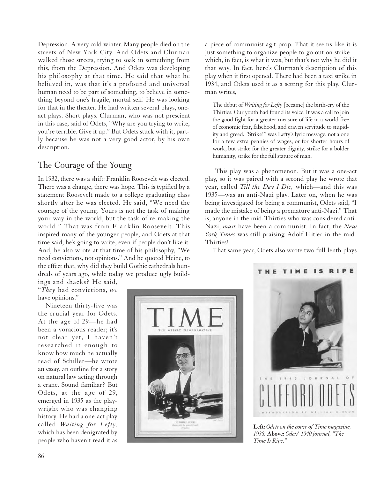Depression. A very cold winter. Many people died on the streets of New York City. And Odets and Clurman walked those streets, trying to soak in something from this, from the Depression. And Odets was developing his philosophy at that time. He said that what he believed in, was that it's a profound and universal human need to be part of something, to believe in something beyond one's fragile, mortal self. He was looking for that in the theater. He had written several plays, oneact plays. Short plays. Clurman, who was not prescient in this case, said of Odets, "Why are you trying to write, you're terrible. Give it up." But Odets stuck with it, partly because he was not a very good actor, by his own description.

#### The Courage of the Young

In 1932, there was a shift: Franklin Roosevelt was elected. There was a change, there was hope. This is typified by a statement Roosevelt made to a college graduating class shortly after he was elected. He said, "We need the courage of the young. Yours is not the task of making your way in the world, but the task of re-making the world." That was from Franklin Roosevelt. This inspired many of the younger people, and Odets at that time said, he's going to write, even if people don't like it. And, he also wrote at that time of his philosophy, "We need convictions, not opinions." And he quoted Heine, to the effect that, why did they build Gothic cathedrals hundreds of years ago, while today we produce ugly build-

ings and shacks? He said, "*They* had convictions, *we* have opinions."

Nineteen thirty-five was the crucial year for Odets. At the age of 29—he had been a voracious reader; it's not clear yet, I haven't researched it enough to know how much he actually read of Schiller—he wrote an essay, an outline for a story on natural law acting through a crane. Sound familiar? But Odets, at the age of 29, emerged in 1935 as the playwright who was changing history. He had a one-act play called *Waiting for Lefty,* which has been denigrated by people who haven't read it as

a piece of communist agit-prop. That it seems like it is just something to organize people to go out on strike which, in fact, is what it was, but that's not why he did it that way. In fact, here's Clurman's description of this play when it first opened. There had been a taxi strike in 1934, and Odets used it as a setting for this play. Clurman writes,

The debut of *Waiting for Lefty* [became] the birth-cry of the Thirties. Our youth had found its voice. It was a call to join the good fight for a greater measure of life in a world free of economic fear, falsehood, and craven servitude to stupidity and greed. "Strike!" was Lefty's lyric message, not alone for a few extra pennies of wages, or for shorter hours of work, but strike for the greater dignity, strike for a bolder humanity, strike for the full stature of man.

This play was a phenomenon. But it was a one-act play, so it was paired with a second play he wrote that year, called *Till the Day I Die,* which—and this was 1935—was an anti-Nazi play. Later on, when he was being investigated for being a communist, Odets said, "I made the mistake of being a premature anti-Nazi." That is, anyone in the mid-Thirties who was considered anti-Nazi, *must* have been a communist. In fact, the *New York Times* was still praising Adolf Hitler in the mid-Thirties!

That same year, Odets also wrote two full-lenth plays





**Left:** *Odets on the cover of Time magazine, 1938.* **Above:** *Odets' 1940 journal, "The Time Is Ripe."*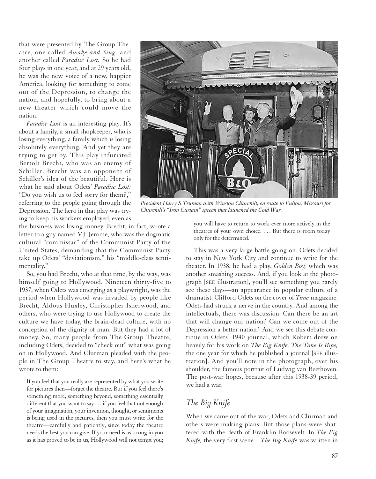that were presented by The Group Theatre, one called *Awake and Sing,* and another called *Paradise Lost.* So he had four plays in one year, and at 29 years old, he was the new voice of a new, happier America, looking for something to come out of the Depression, to change the nation, and hopefully, to bring about a new theater which could move the nation.

*Paradise Lost* is an interesting play. It's about a family, a small shopkeeper, who is losing everything, a family which is losing absolutely everything. And yet they are trying to get by. This play infuriated Bertolt Brecht, who was an enemy of Schiller. Brecht was an opponent of Schiller's idea of the beautiful. Here is what he said about Odets' *Paradise Lost:* "Do you wish us to feel sorry for them?," referring to the people going through the Depression. The hero in that play was trying to keep his workers employed, even as

the business was losing money. Brecht, in fact, wrote a letter to a guy named V.J. Jerome, who was the dogmatic cultural "commissar" of the Communist Party of the United States, demanding that the Communist Party take up Odets' "deviationism," his "middle-class sentimentality."

So, you had Brecht, who at that time, by the way, was himself going to Hollywood. Nineteen thirty-five to 1937, when Odets was emerging as a playwright, was the period when Hollywood was invaded by people like Brecht, Aldous Huxley, Christopher Isherwood, and others, who were trying to use Hollywood to create the culture we have today, the brain-dead culture, with no conception of the dignity of man. But they had a lot of money. So, many people from The Group Theatre, including Odets, decided to "check out" what was going on in Hollywood. And Clurman pleaded with the people in The Group Theatre to stay, and here's what he wrote to them:

If you feel that you really are represented by what you write for pictures then—forget the theatre. But if you feel there's something more, something beyond, something essentially different that you want to say . . . if you feel that not enough of your imagination, your invention, thought, or sentiments is being used in the pictures, then you must write for the theatre—carefully and patiently, since today the theatre needs the best you can give. If your need is as strong in you as it has proved to be in us, Hollywood will not tempt you;



*President Harry S Truman with Winston Churchill, en route to Fulton, Missouri for Churchill's "Iron Curtain" speech that launched the Cold War.*

you will have to return to work ever more actively in the theatres of your own choice. . . . But there is room today only for the determined.

This was a very large battle going on. Odets decided to stay in New York City and continue to write for the theater. In 1938, he had a play, *Golden Boy,* which was another smashing success. And, if you look at the photograph [SEE illustration], you'll see something you rarely see these days—an appearance in popular culture of a dramatist: Clifford Odets on the cover of *Time* magazine. Odets had struck a nerve in the country. And among the intellectuals, there was discussion: Can there be an art that will change our nation? Can we come out of the Depression a better nation? And we see this debate continue in Odets' 1940 journal, which Robert drew on heavily for his work on *The Big Knife, The Time Is Ripe,* the one year for which he published a journal [SEE illustration]. And you'll note in the photograph, over his shoulder, the famous portrait of Ludwig van Beethoven. The post-war hopes, because after this 1938-39 period, we had a war.

### *The Big Knife*

When we came out of the war, Odets and Clurman and others were making plans. But those plans were shattered with the death of Franklin Roosevelt. In *The Big Knife,* the very first scene—*The Big Knife* was written in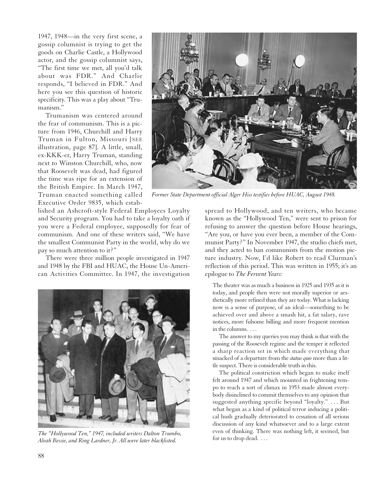1947, 1948—in the very first scene, a gossip columnist is trying to get the goods on Charlie Castle, a Hollywood actor, and the gossip columnist says, "The first time we met, all you'd talk about was FDR." And Charlie responds, "I believed in FDR." And here you see this question of historic specificity. This was a play about "Trumanism."

Trumanism was centered around the fear of communism. This is a picture from 1946, Churchill and Harry Truman in Fulton, Missouri [SEE illustration, page 87]. A little, small, ex-KKK-er, Harry Truman, standing next to Winston Churchill, who, now that Roosevelt was dead, had figured the time was ripe for an extension of the British Empire. In March 1947, Truman enacted something called Executive Order 9835, which estab-



*Former State Department official Alger Hiss testifies before HUAC, August 1948.*

lished an Ashcroft-style Federal Employees Loyalty and Security program. You had to take a loyalty oath if you were a Federal employee, supposedly for fear of communism. And one of these writers said, "We have the smallest Communist Party in the world, why do we pay so much attention to it?"

There were three million people investigated in 1947 and 1948 by the FBI and HUAC, the House Un-American Activities Committee. In 1947, the investigation



*The "Hollywood Ten," 1947, included writers Dalton Trumbo, Alvah Bessie, and Ring Lardner, Jr. All were later blacklisted.*

spread to Hollywood, and ten writers, who became known as the "Hollywood Ten," were sent to prison for refusing to answer the question before House hearings, "Are you, or have you ever been, a member of the Communist Party?" In November 1947, the studio chiefs met, and they acted to ban communists from the motion picture industry. Now, I'd like Robert to read Clurman's reflection of this period. This was written in 1955; it's an epilogue to *The Fervent Years:*

The theater was as much a business in 1925 and 1935 as it is today, and people then were not morally superior or aesthetically more refined than they are today. What is lacking now is a sense of purpose, of an ideal—something to be achieved over and above a smash hit, a fat salary, rave notices, more fulsome billing and more frequent mention in the columns. . . .

The answer to my queries you may think is that with the passing of the Roosevelt regime and the temper it reflected a sharp reaction set in which made everything that smacked of a departure from the *status quo* more than a little suspect. There is considerable truth in this.

The political constriction which began to make itself felt around 1947 and which mounted in frightening tempo to reach a sort of climax in 1953 made almost everybody disinclined to commit themselves to any opinion that suggested anything specific beyond "loyalty." . . . But what began as a kind of political terror inducing a political hush gradually deteriorated to cessation of all serious discussion of any kind whatsoever and to a large extent even of thinking. There was nothing left, it seemed, but for us to drop dead. . . .